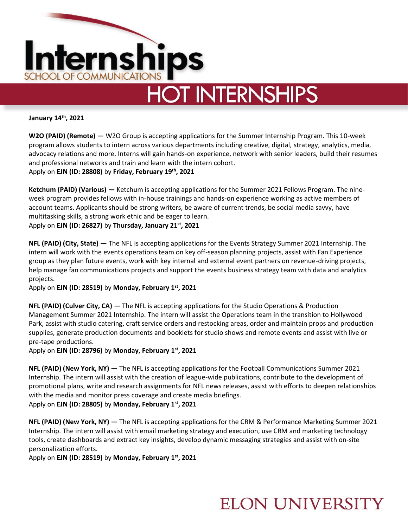

**January 14 th, 2021**

**W2O (PAID) (Remote) —** W2O Group is accepting applications for the Summer Internship Program. This 10-week program allows students to intern across various departments including creative, digital, strategy, analytics, media, advocacy relations and more. Interns will gain hands-on experience, network with senior leaders, build their resumes and professional networks and train and learn with the intern cohort. Apply on **EJN (ID: 28808)** by **Friday, February 19th, 2021**

**Ketchum (PAID) (Various) —** Ketchum is accepting applications for the Summer 2021 Fellows Program. The nineweek program provides fellows with in-house trainings and hands-on experience working as active members of account teams. Applicants should be strong writers, be aware of current trends, be social media savvy, have multitasking skills, a strong work ethic and be eager to learn. Apply on **EJN (ID: 26827)** by **Thursday, January 21st, 2021**

**NFL (PAID) (City, State) —** The NFL is accepting applications for the Events Strategy Summer 2021 Internship. The intern will work with the events operations team on key off-season planning projects, assist with Fan Experience group as they plan future events, work with key internal and external event partners on revenue-driving projects, help manage fan communications projects and support the events business strategy team with data and analytics projects.

Apply on **EJN (ID: 28519)** by **Monday, February 1st , 2021**

**NFL (PAID) (Culver City, CA) —** The NFL is accepting applications for the Studio Operations & Production Management Summer 2021 Internship. The intern will assist the Operations team in the transition to Hollywood Park, assist with studio catering, craft service orders and restocking areas, order and maintain props and production supplies, generate production documents and booklets for studio shows and remote events and assist with live or pre-tape productions.

Apply on **EJN (ID: 28796)** by **Monday, February 1st, 2021**

**NFL (PAID) (New York, NY) —** The NFL is accepting applications for the Football Communications Summer 2021 Internship. The intern will assist with the creation of league-wide publications, contribute to the development of promotional plans, write and research assignments for NFL news releases, assist with efforts to deepen relationships with the media and monitor press coverage and create media briefings. Apply on **EJN (ID: 28805)** by **Monday, February 1st, 2021**

**NFL (PAID) (New York, NY) —** The NFL is accepting applications for the CRM & Performance Marketing Summer 2021 Internship. The intern will assist with email marketing strategy and execution, use CRM and marketing technology tools, create dashboards and extract key insights, develop dynamic messaging strategies and assist with on-site personalization efforts.

Apply on **EJN (ID: 28519)** by **Monday, February 1st, 2021**

## **ELON UNIVERSITY**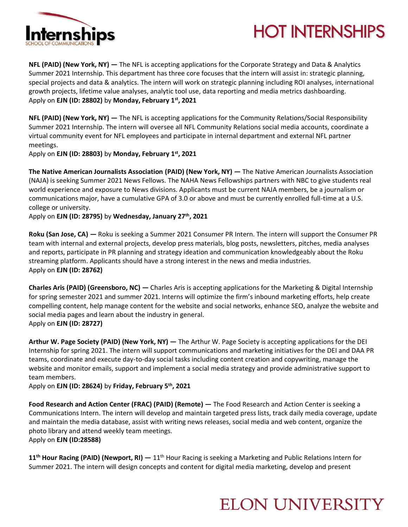



**NFL (PAID) (New York, NY) —** The NFL is accepting applications for the Corporate Strategy and Data & Analytics Summer 2021 Internship. This department has three core focuses that the intern will assist in: strategic planning, special projects and data & analytics. The intern will work on strategic planning including ROI analyses, international growth projects, lifetime value analyses, analytic tool use, data reporting and media metrics dashboarding. Apply on **EJN (ID: 28802)** by **Monday, February 1st, 2021**

**NFL (PAID) (New York, NY) —** The NFL is accepting applications for the Community Relations/Social Responsibility Summer 2021 Internship. The intern will oversee all NFL Community Relations social media accounts, coordinate a virtual community event for NFL employees and participate in internal department and external NFL partner meetings.

Apply on **EJN (ID: 28803)** by **Monday, February 1st, 2021**

**The Native American Journalists Association (PAID) (New York, NY) —** The Native American Journalists Association (NAJA) is seeking Summer 2021 News Fellows. The NAHA News Fellowships partners with NBC to give students real world experience and exposure to News divisions. Applicants must be current NAJA members, be a journalism or communications major, have a cumulative GPA of 3.0 or above and must be currently enrolled full-time at a U.S. college or university.

Apply on **EJN (ID: 28795)** by **Wednesday, January 27th, 2021**

**Roku (San Jose, CA) —** Roku is seeking a Summer 2021 Consumer PR Intern. The intern will support the Consumer PR team with internal and external projects, develop press materials, blog posts, newsletters, pitches, media analyses and reports, participate in PR planning and strategy ideation and communication knowledgeably about the Roku streaming platform. Applicants should have a strong interest in the news and media industries. Apply on **EJN (ID: 28762)**

**Charles Aris (PAID) (Greensboro, NC) —** Charles Aris is accepting applications for the Marketing & Digital Internship for spring semester 2021 and summer 2021. Interns will optimize the firm's inbound marketing efforts, help create compelling content, help manage content for the website and social networks, enhance SEO, analyze the website and social media pages and learn about the industry in general. Apply on **EJN (ID: 28727)** 

**Arthur W. Page Society (PAID) (New York, NY) —** The Arthur W. Page Society is accepting applications for the DEI Internship for spring 2021. The intern will support communications and marketing initiatives for the DEI and DAA PR teams, coordinate and execute day-to-day social tasks including content creation and copywriting, manage the website and monitor emails, support and implement a social media strategy and provide administrative support to team members.

Apply on **EJN (ID: 28624)** by **Friday, February 5th, 2021**

**Food Research and Action Center (FRAC) (PAID) (Remote) —** The Food Research and Action Center is seeking a Communications Intern. The intern will develop and maintain targeted press lists, track daily media coverage, update and maintain the media database, assist with writing news releases, social media and web content, organize the photo library and attend weekly team meetings. Apply on **EJN (ID:28588)**

**11th Hour Racing (PAID) (Newport, RI) —** 11th Hour Racing is seeking a Marketing and Public Relations Intern for Summer 2021. The intern will design concepts and content for digital media marketing, develop and present

## **ELON UNIVERSITY**